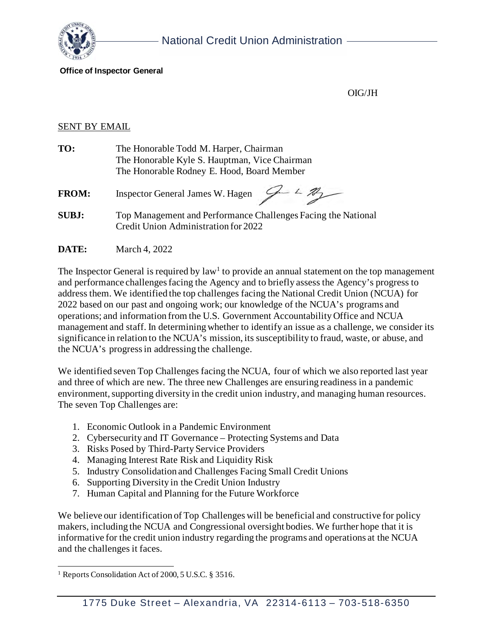

#### **Office of Inspector General**

OIG/JH

#### **SENT BY EMAIL**

| TO: | The Honorable Todd M. Harper, Chairman        |
|-----|-----------------------------------------------|
|     | The Honorable Kyle S. Hauptman, Vice Chairman |
|     | The Honorable Rodney E. Hood, Board Member    |

- **FROM:** Inspector General James W. Hagen  $\begin{array}{cc} \mathcal{L} & \mathcal{L} \mathcal{L} \end{array}$
- **SUBJ:** Top Management and Performance Challenges Facing the National Credit Union Administration for 2022
- **DATE:** March 4, 2022

The Inspector General is required by law<sup>1</sup> to provide an annual statement on the top management and performance challenges facing the Agency and to briefly assess the Agency's progress to address them. We identified the top challenges facing the National Credit Union (NCUA) for 2022 based on our past and ongoing work; our knowledge of the NCUA's programs and operations; and information from the U.S. Government Accountability Office and NCUA management and staff. In determining whether to identify an issue as a challenge, we consider its significance in relation to the NCUA's mission, its susceptibility to fraud, waste, or abuse, and the NCUA's progress in addressing the challenge.

We identified seven Top Challenges facing the NCUA, four of which we also reported last year and three of which are new. The three new Challenges are ensuring readiness in a pandemic environment, supporting diversity in the credit union industry, and managing human resources. The seven Top Challenges are:

- 1. Economic Outlook in a Pandemic Environment
- 2. Cybersecurity and IT Governance Protecting Systems and Data
- 3. Risks Posed by Third-Party Service Providers
- 4. Managing Interest Rate Risk and Liquidity Risk
- 5. Industry Consolidation and Challenges Facing Small Credit Unions
- 6. Supporting Diversity in the Credit Union Industry
- 7. Human Capital and Planning for the Future Workforce

We believe our identification of Top Challenges will be beneficial and constructive for policy makers, including the NCUA and Congressional oversight bodies. We further hope that it is informative for the credit union industry regarding the programs and operations at the NCUA and the challenges it faces.

<span id="page-0-0"></span><sup>&</sup>lt;sup>1</sup> Reports Consolidation Act of 2000, 5 U.S.C. § 3516.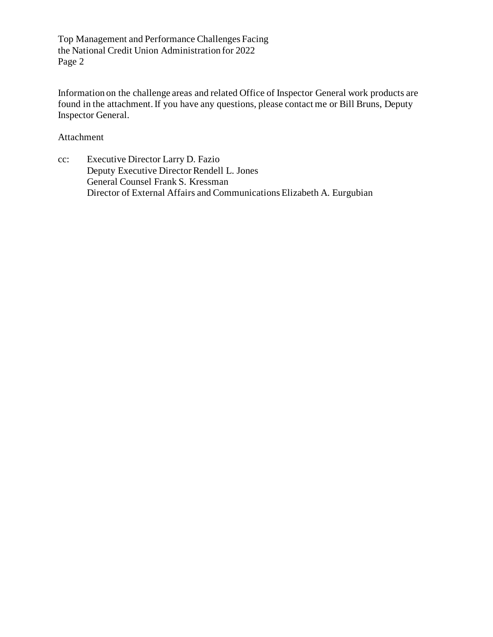Information on the challenge areas and related Office of Inspector General work products are found in the attachment. If you have any questions, please contact me or Bill Bruns, Deputy Inspector General.

Attachment

cc: Executive Director Larry D. Fazio Deputy Executive Director Rendell L. Jones General Counsel Frank S. Kressman Director of External Affairs and Communications Elizabeth A. Eurgubian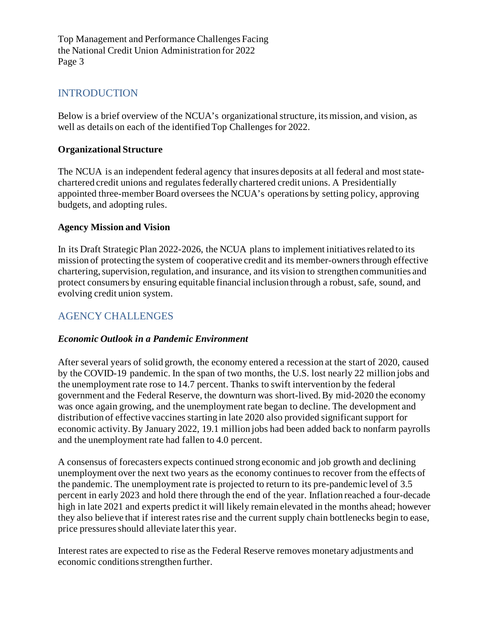# INTRODUCTION

Below is a brief overview of the NCUA's organizational structure, its mission, and vision, as well as details on each of the identified Top Challenges for 2022.

#### **Organizational Structure**

The NCUA is an independent federal agency that insures deposits at all federal and most statechartered credit unions and regulates federally chartered credit unions. A Presidentially appointed three-member Board oversees the NCUA's operations by setting policy, approving budgets, and adopting rules.

#### **Agency Mission and Vision**

In its Draft Strategic Plan 2022-2026, the NCUA plans to implement initiatives related to its mission of protecting the system of cooperative credit and its member-owners through effective chartering, supervision, regulation, and insurance, and its vision to strengthen communities and protect consumers by ensuring equitable financial inclusion through a robust, safe, sound, and evolving credit union system.

## AGENCY CHALLENGES

#### *Economic Outlook in a Pandemic Environment*

After several years of solid growth, the economy entered a recession at the start of 2020, caused by the COVID-19 pandemic. In the span of two months, the U.S. lost nearly 22 million jobs and the unemployment rate rose to 14.7 percent. Thanks to swift intervention by the federal government and the Federal Reserve, the downturn was short-lived. By mid-2020 the economy was once again growing, and the unemployment rate began to decline. The development and distribution of effective vaccines starting in late 2020 also provided significant support for economic activity. By January 2022, 19.1 million jobs had been added back to nonfarm payrolls and the unemployment rate had fallen to 4.0 percent.

A consensus of forecasters expects continued strong economic and job growth and declining unemployment over the next two years as the economy continues to recover from the effects of the pandemic. The unemployment rate is projected to return to its pre-pandemic level of 3.5 percent in early 2023 and hold there through the end of the year. Inflation reached a four-decade high in late 2021 and experts predict it will likely remain elevated in the months ahead; however they also believe that if interest rates rise and the current supply chain bottlenecks begin to ease, price pressures should alleviate later this year.

Interest rates are expected to rise as the Federal Reserve removes monetary adjustments and economic conditions strengthen further.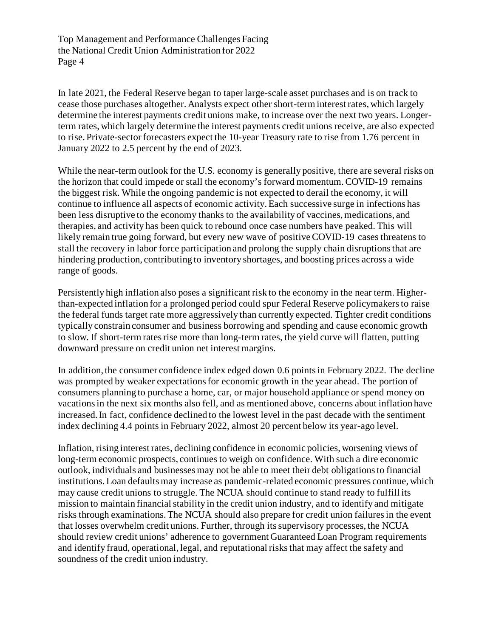In late 2021, the Federal Reserve began to taper large-scale asset purchases and is on track to cease those purchases altogether. Analysts expect other short-term interest rates, which largely determine the interest payments credit unions make, to increase over the next two years. Longerterm rates, which largely determine the interest payments credit unions receive, are also expected to rise. Private-sector forecasters expect the 10-year Treasury rate to rise from 1.76 percent in January 2022 to 2.5 percent by the end of 2023.

While the near-term outlook for the U.S. economy is generally positive, there are several risks on the horizon that could impede or stall the economy's forward momentum. COVID-19 remains the biggest risk. While the ongoing pandemic is not expected to derail the economy, it will continue to influence all aspects of economic activity. Each successive surge in infections has been less disruptive to the economy thanks to the availability of vaccines, medications, and therapies, and activity has been quick to rebound once case numbers have peaked. This will likely remain true going forward, but every new wave of positive COVID-19 cases threatens to stall the recovery in labor force participation and prolong the supply chain disruptions that are hindering production, contributing to inventory shortages, and boosting prices across a wide range of goods.

Persistently high inflation also poses a significant risk to the economy in the near term. Higherthan-expected inflation for a prolonged period could spur Federal Reserve policymakers to raise the federal funds target rate more aggressively than currently expected. Tighter credit conditions typically constrain consumer and business borrowing and spending and cause economic growth to slow. If short-term rates rise more than long-term rates, the yield curve will flatten, putting downward pressure on credit union net interest margins.

In addition, the consumer confidence index edged down 0.6 points in February 2022. The decline was prompted by weaker expectations for economic growth in the year ahead. The portion of consumers planning to purchase a home, car, or major household appliance or spend money on vacations in the next six months also fell, and as mentioned above, concerns about inflation have increased. In fact, confidence declined to the lowest level in the past decade with the sentiment index declining 4.4 points in February 2022, almost 20 percent below its year-ago level.

Inflation, rising interest rates, declining confidence in economic policies, worsening views of long-term economic prospects, continues to weigh on confidence. With such a dire economic outlook, individuals and businesses may not be able to meet their debt obligations to financial institutions. Loan defaults may increase as pandemic-related economic pressures continue, which may cause credit unions to struggle. The NCUA should continue to stand ready to fulfill its mission to maintain financial stability in the credit union industry, and to identify and mitigate risks through examinations. The NCUA should also prepare for credit union failures in the event that losses overwhelm credit unions. Further, through its supervisory processes, the NCUA should review credit unions' adherence to government Guaranteed Loan Program requirements and identify fraud, operational, legal, and reputational risks that may affect the safety and soundness of the credit union industry.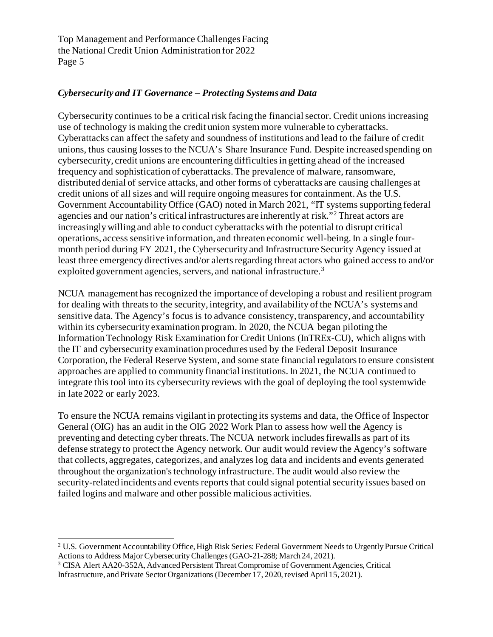## *Cybersecurity and IT Governance – Protecting Systems and Data*

Cybersecurity continues to be a critical risk facing the financial sector. Credit unions increasing use of technology is making the credit union system more vulnerable to cyberattacks. Cyberattacks can affect the safety and soundness of institutions and lead to the failure of credit unions, thus causing losses to the NCUA's Share Insurance Fund. Despite increased spending on cybersecurity, credit unions are encountering difficulties in getting ahead of the increased frequency and sophistication of cyberattacks. The prevalence of malware, ransomware, distributed denial of service attacks, and other forms of cyberattacks are causing challenges at credit unions of all sizes and will require ongoing measures for containment. As the U.S. Government Accountability Office (GAO) noted in March 2021, "IT systems supporting federal agencies and our nation's critical infrastructures are inherently at risk."[2](#page-4-0) Threat actors are increasingly willing and able to conduct cyberattacks with the potential to disrupt critical operations, access sensitive information, and threaten economic well-being. In a single fourmonth period during FY 2021, the Cybersecurity and Infrastructure Security Agency issued at least three emergency directives and/or alerts regarding threat actors who gained access to and/or exploited government agencies, servers, and national infrastructure.<sup>[3](#page-4-1)</sup>

NCUA management has recognized the importance of developing a robust and resilient program for dealing with threats to the security, integrity, and availability of the NCUA's systems and sensitive data. The Agency's focus is to advance consistency, transparency, and accountability within its cybersecurity examination program. In 2020, the NCUA began piloting the Information Technology Risk Examination for Credit Unions (InTREx-CU), which aligns with the IT and cybersecurity examination procedures used by the Federal Deposit Insurance Corporation, the Federal Reserve System, and some state financial regulators to ensure consistent approaches are applied to community financial institutions. In 2021, the NCUA continued to integrate this tool into its cybersecurity reviews with the goal of deploying the tool systemwide in late 2022 or early 2023.

To ensure the NCUA remains vigilant in protecting its systems and data, the Office of Inspector General (OIG) has an audit in the OIG 2022 Work Plan to assess how well the Agency is preventing and detecting cyber threats. The NCUA network includes firewalls as part of its defense strategy to protect the Agency network. Our audit would review the Agency's software that collects, aggregates, categorizes, and analyzes log data and incidents and events generated throughout the organization's technology infrastructure. The audit would also review the security-related incidents and events reports that could signal potential security issues based on failed logins and malware and other possible malicious activities.

<span id="page-4-0"></span><sup>2</sup> U.S. Government Accountability Office, High Risk Series: Federal Government Needs to Urgently Pursue Critical Actions to Address Major Cybersecurity Challenges (GAO-21-288; March 24, 2021).<br><sup>3</sup> CISA Alert AA20-352A, Advanced Persistent Threat Compromise of Government Agencies, Critical

<span id="page-4-1"></span>Infrastructure, and Private Sector Organizations (December 17, 2020, revised April 15, 2021).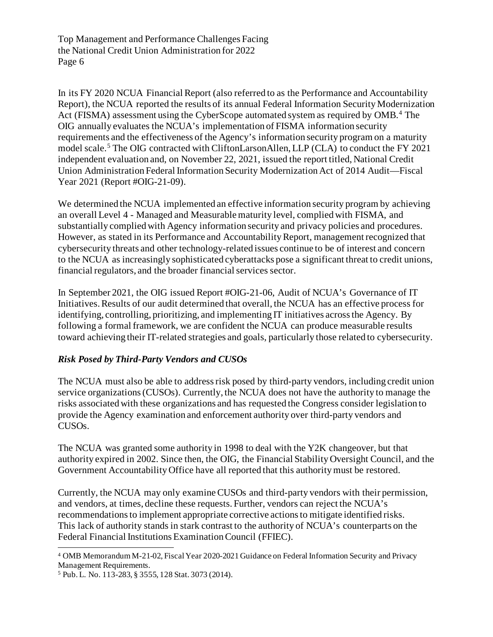In its FY 2020 NCUA Financial Report (also referred to as the Performance and Accountability Report), the NCUA reported the results of its annual Federal Information Security Modernization Act (FISMA) assessment using the CyberScope automated system as required by OMB. [4](#page-5-0) The OIG annually evaluates the NCUA's implementation of FISMA information security requirements and the effectiveness of the Agency's information security program on a maturity model scale.<sup>[5](#page-5-1)</sup> The OIG contracted with CliftonLarsonAllen, LLP (CLA) to conduct the FY 2021 independent evaluation and, on November 22, 2021, issued the report titled, National Credit Union Administration Federal Information Security Modernization Act of 2014 Audit—Fiscal Year 2021 (Report #OIG-21-09).

We determined the NCUA implemented an effective information security program by achieving an overall Level 4 - Managed and Measurable maturity level, complied with FISMA, and substantially complied with Agency information security and privacy policies and procedures. However, as stated in its Performance and Accountability Report, management recognized that cybersecurity threats and other technology-related issues continue to be of interest and concern to the NCUA as increasingly sophisticated cyberattacks pose a significant threat to credit unions, financial regulators, and the broader financial services sector.

In September 2021, the OIG issued Report #OIG-21-06, Audit of NCUA's Governance of IT Initiatives. Results of our audit determined that overall, the NCUA has an effective process for identifying, controlling, prioritizing, and implementing IT initiatives across the Agency. By following a formal framework, we are confident the NCUA can produce measurable results toward achieving their IT-related strategies and goals, particularly those related to cybersecurity.

## *Risk Posed by Third-Party Vendors and CUSOs*

The NCUA must also be able to address risk posed by third-party vendors, including credit union service organizations (CUSOs). Currently, the NCUA does not have the authority to manage the risks associated with these organizations and has requested the Congress consider legislation to provide the Agency examination and enforcement authority over third-party vendors and CUSOs.

The NCUA was granted some authority in 1998 to deal with the Y2K changeover, but that authority expired in 2002. Since then, the OIG, the Financial Stability Oversight Council, and the Government Accountability Office have all reported that this authority must be restored.

Currently, the NCUA may only examine CUSOs and third-party vendors with their permission, and vendors, at times, decline these requests. Further, vendors can reject the NCUA's recommendations to implement appropriate corrective actions to mitigate identified risks. This lack of authority stands in stark contrast to the authority of NCUA's counterparts on the Federal Financial Institutions Examination Council (FFIEC).

<span id="page-5-0"></span><sup>4</sup> OMB Memorandum M-21-02, Fiscal Year 2020-2021 Guidance on Federal Information Security and Privacy

<span id="page-5-1"></span><sup>&</sup>lt;sup>5</sup> Pub. L. No. 113-283, § 3555, 128 Stat. 3073 (2014).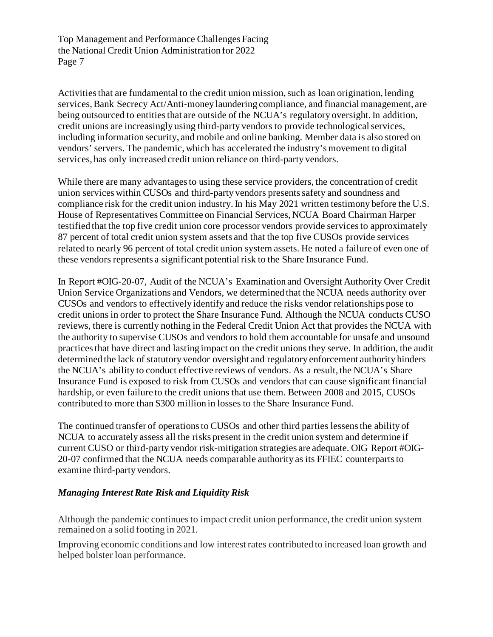Activities that are fundamental to the credit union mission, such as loan origination, lending services, Bank Secrecy Act/Anti-money laundering compliance, and financial management, are being outsourced to entities that are outside of the NCUA's regulatory oversight. In addition, credit unions are increasingly using third-party vendors to provide technological services, including information security, and mobile and online banking. Member data is also stored on vendors' servers. The pandemic, which has accelerated the industry's movement to digital services, has only increased credit union reliance on third-party vendors.

While there are many advantages to using these service providers, the concentration of credit union services within CUSOs and third-party vendors presents safety and soundness and compliance risk for the credit union industry. In his May 2021 written testimony before the U.S. House of Representatives Committee on Financial Services, NCUA Board Chairman Harper testified that the top five credit union core processor vendors provide services to approximately 87 percent of total credit union system assets and that the top five CUSOs provide services related to nearly 96 percent of total credit union system assets. He noted a failure of even one of these vendors represents a significant potential risk to the Share Insurance Fund.

In Report #OIG-20-07, Audit of the NCUA's Examination and Oversight Authority Over Credit Union Service Organizations and Vendors, we determined that the NCUA needs authority over CUSOs and vendors to effectively identify and reduce the risks vendor relationships pose to credit unions in order to protect the Share Insurance Fund. Although the NCUA conducts CUSO reviews, there is currently nothing in the Federal Credit Union Act that provides the NCUA with the authority to supervise CUSOs and vendors to hold them accountable for unsafe and unsound practices that have direct and lasting impact on the credit unions they serve. In addition, the audit determined the lack of statutory vendor oversight and regulatory enforcement authority hinders the NCUA's ability to conduct effective reviews of vendors. As a result, the NCUA's Share Insurance Fund is exposed to risk from CUSOs and vendors that can cause significant financial hardship, or even failure to the credit unions that use them. Between 2008 and 2015, CUSOs contributed to more than \$300 million in losses to the Share Insurance Fund.

The continued transfer of operations to CUSOs and other third parties lessensthe ability of NCUA to accurately assess all the risks present in the credit union system and determine if current CUSO or third-party vendor risk-mitigation strategies are adequate. OIG Report #OIG-20-07 confirmed that the NCUA needs comparable authority as its FFIEC counterparts to examine third-party vendors.

## *Managing Interest Rate Risk and Liquidity Risk*

Although the pandemic continues to impact credit union performance, the credit union system remained on a solid footing in 2021.

Improving economic conditions and low interest rates contributed to increased loan growth and helped bolster loan performance.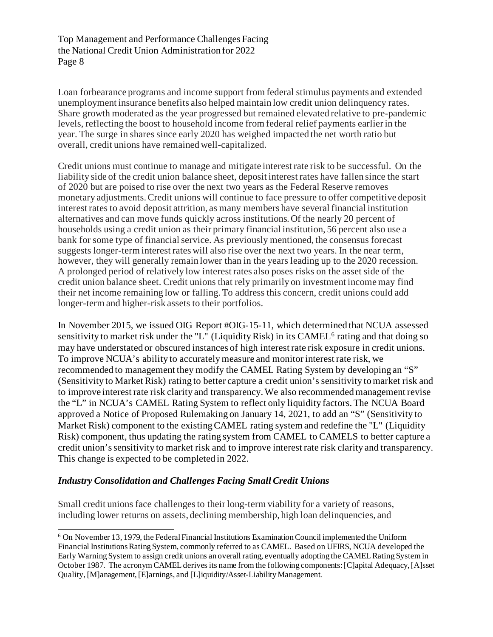Loan forbearance programs and income support from federal stimulus payments and extended unemployment insurance benefits also helped maintain low credit union delinquency rates. Share growth moderated as the year progressed but remained elevated relative to pre-pandemic levels, reflecting the boost to household income from federal relief payments earlier in the year. The surge in shares since early 2020 has weighed impacted the net worth ratio but overall, credit unions have remained well-capitalized.

Credit unions must continue to manage and mitigate interest rate risk to be successful. On the liability side of the credit union balance sheet, deposit interest rates have fallen since the start of 2020 but are poised to rise over the next two years as the Federal Reserve removes monetary adjustments. Credit unions will continue to face pressure to offer competitive deposit interest rates to avoid deposit attrition, as many members have several financial institution alternatives and can move funds quickly across institutions. Of the nearly 20 percent of households using a credit union as their primary financial institution, 56 percent also use a bank for some type of financial service. As previously mentioned, the consensus forecast suggests longer-term interest rates will also rise over the next two years. In the near term, however, they will generally remain lower than in the years leading up to the 2020 recession. A prolonged period of relatively low interest rates also poses risks on the asset side of the credit union balance sheet. Credit unions that rely primarily on investment income may find their net income remaining low or falling.To address this concern, credit unions could add longer-term and higher-risk assets to their portfolios.

In November 2015, we issued OIG Report #OIG-15-11, which determined that NCUA assessed sensitivity to market risk under the "L" (Liquidity Risk) in its CAMEL<sup>[6](#page-7-0)</sup> rating and that doing so may have understated or obscured instances of high interest rate risk exposure in credit unions. To improve NCUA's ability to accurately measure and monitor interest rate risk, we recommended to management they modify the CAMEL Rating System by developing an "S" (Sensitivity to Market Risk) rating to better capture a credit union's sensitivity to market risk and to improve interest rate risk clarity and transparency.We also recommended management revise the "L" in NCUA's CAMEL Rating System to reflect only liquidity factors.The NCUA Board approved a Notice of Proposed Rulemaking on January 14, 2021, to add an "S" (Sensitivity to Market Risk) component to the existing CAMEL rating system and redefine the "L" (Liquidity Risk) component, thus updating the rating system from CAMEL to CAMELS to better capture a credit union's sensitivity to market risk and to improve interest rate risk clarity and transparency. This change is expected to be completed in 2022.

## *Industry Consolidation and Challenges Facing Small Credit Unions*

Small credit unions face challenges to their long-term viability for a variety of reasons, including lower returns on assets, declining membership, high loan delinquencies, and

<span id="page-7-0"></span><sup>6</sup> On November 13, 1979, the Federal Financial Institutions Examination Council implemented the Uniform Financial Institutions Rating System, commonly referred to as CAMEL. Based on UFIRS, NCUA developed the Early Warning System to assign credit unions an overall rating, eventually adopting the CAMEL Rating System in October 1987. The acronym CAMEL derives its name from the following components: [C]apital Adequacy, [A]sset Quality, [M]anagement, [E]arnings, and [L]iquidity/Asset-Liability Management.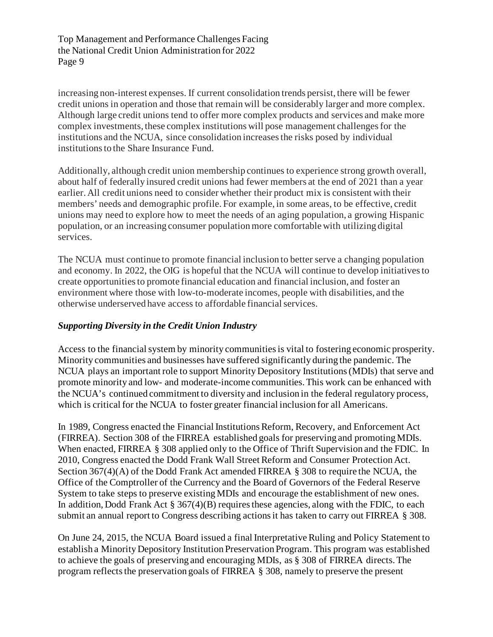increasing non-interest expenses. If current consolidation trends persist, there will be fewer credit unions in operation and those that remain will be considerably larger and more complex. Although large credit unions tend to offer more complex products and services and make more complex investments, these complex institutions will pose management challenges for the institutions and the NCUA, since consolidation increasesthe risks posed by individual institutions to the Share Insurance Fund.

Additionally, although credit union membership continues to experience strong growth overall, about half of federally insured credit unions had fewer members at the end of 2021 than a year earlier. All credit unions need to consider whether their product mix is consistent with their members' needs and demographic profile. For example, in some areas, to be effective, credit unions may need to explore how to meet the needs of an aging population, a growing Hispanic population, or an increasing consumer population more comfortable with utilizing digital services.

The NCUA must continue to promote financial inclusion to better serve a changing population and economy. In 2022, the OIG is hopeful that the NCUA will continue to develop initiatives to create opportunities to promote financial education and financial inclusion, and foster an environment where those with low-to-moderate incomes, people with disabilities, and the otherwise underserved have access to affordable financial services.

## *Supporting Diversity in the Credit Union Industry*

Access to the financial system by minority communities is vital to fostering economic prosperity. Minority communities and businesses have suffered significantly during the pandemic. The NCUA plays an important role to support Minority Depository Institutions (MDIs) that serve and promote minority and low- and moderate-income communities. This work can be enhanced with the NCUA's continued commitment to diversity and inclusion in the federal regulatory process, which is critical for the NCUA to foster greater financial inclusion for all Americans.

In 1989, Congress enacted the Financial Institutions Reform, Recovery, and Enforcement Act (FIRREA). Section 308 of the FIRREA established goals for preserving and promoting MDIs. When enacted, FIRREA § 308 applied only to the Office of Thrift Supervision and the FDIC. In 2010, Congress enacted the Dodd Frank Wall Street Reform and Consumer Protection Act. Section 367(4)(A) of the Dodd Frank Act amended FIRREA § 308 to require the NCUA, the Office of the Comptroller of the Currency and the Board of Governors of the Federal Reserve System to take steps to preserve existing MDIs and encourage the establishment of new ones. In addition, Dodd Frank Act § 367(4)(B) requires these agencies, along with the FDIC, to each submit an annual report to Congress describing actions it has taken to carry out FIRREA § 308.

On June 24, 2015, the NCUA Board issued a final Interpretative Ruling and Policy Statement to establish a Minority Depository Institution Preservation Program. This program was established to achieve the goals of preserving and encouraging MDIs, as § 308 of FIRREA directs. The program reflects the preservation goals of FIRREA § 308, namely to preserve the present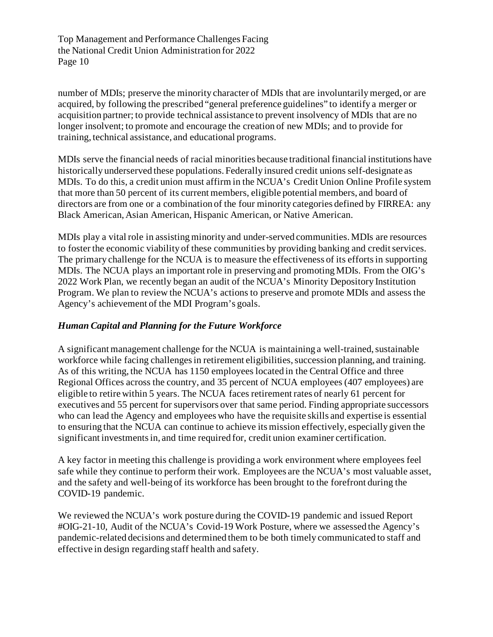number of MDIs; preserve the minority character of MDIs that are involuntarily merged, or are acquired, by following the prescribed "general preference guidelines" to identify a merger or acquisition partner; to provide technical assistance to prevent insolvency of MDIs that are no longer insolvent; to promote and encourage the creation of new MDIs; and to provide for training, technical assistance, and educational programs.

MDIs serve the financial needs of racial minorities because traditional financial institutions have historically underserved these populations. Federally insured credit unions self-designate as MDIs. To do this, a credit union must affirm in the NCUA's Credit Union Online Profile system that more than 50 percent of its current members, eligible potential members, and board of directors are from one or a combination of the four minority categories defined by FIRREA: any Black American, Asian American, Hispanic American, or Native American.

MDIs play a vital role in assisting minority and under-served communities. MDIs are resources to foster the economic viability of these communities by providing banking and credit services. The primary challenge for the NCUA is to measure the effectiveness of its efforts in supporting MDIs. The NCUA plays an important role in preserving and promoting MDIs. From the OIG's 2022 Work Plan, we recently began an audit of the NCUA's Minority Depository Institution Program. We plan to review the NCUA's actions to preserve and promote MDIs and assess the Agency's achievement of the MDI Program's goals.

## *Human Capital and Planning for the Future Workforce*

A significant management challenge for the NCUA is maintaining a well-trained, sustainable workforce while facing challenges in retirement eligibilities, succession planning, and training. As of this writing, the NCUA has 1150 employees located in the Central Office and three Regional Offices across the country, and 35 percent of NCUA employees (407 employees) are eligible to retire within 5 years. The NCUA faces retirement rates of nearly 61 percent for executives and 55 percent for supervisors over that same period. Finding appropriate successors who can lead the Agency and employees who have the requisite skills and expertise is essential to ensuring that the NCUA can continue to achieve its mission effectively, especially given the significant investments in, and time required for, credit union examiner certification.

A key factor in meeting this challenge is providing a work environment where employees feel safe while they continue to perform their work. Employees are the NCUA's most valuable asset, and the safety and well-being of its workforce has been brought to the forefront during the COVID-19 pandemic.

We reviewed the NCUA's work posture during the COVID-19 pandemic and issued Report #OIG-21-10, Audit of the NCUA's Covid-19 Work Posture, where we assessed the Agency's pandemic-related decisions and determined them to be both timely communicated to staff and effective in design regarding staff health and safety.